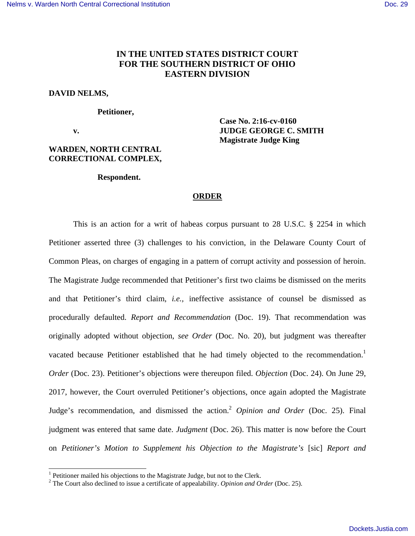# **IN THE UNITED STATES DISTRICT COURT FOR THE SOUTHERN DISTRICT OF OHIO EASTERN DIVISION**

### **DAVID NELMS,**

#### **Petitioner,**

-

## **WARDEN, NORTH CENTRAL CORRECTIONAL COMPLEX,**

 **Case No. 2:16-cv-0160 v. JUDGE GEORGE C. SMITH Magistrate Judge King** 

#### **Respondent.**

### **ORDER**

This is an action for a writ of habeas corpus pursuant to 28 U.S.C. § 2254 in which Petitioner asserted three (3) challenges to his conviction, in the Delaware County Court of Common Pleas, on charges of engaging in a pattern of corrupt activity and possession of heroin. The Magistrate Judge recommended that Petitioner's first two claims be dismissed on the merits and that Petitioner's third claim, *i.e.,* ineffective assistance of counsel be dismissed as procedurally defaulted. *Report and Recommendation* (Doc. 19). That recommendation was originally adopted without objection, *see Order* (Doc. No. 20), but judgment was thereafter vacated because Petitioner established that he had timely objected to the recommendation.<sup>1</sup> *Order* (Doc. 23). Petitioner's objections were thereupon filed. *Objection* (Doc. 24). On June 29, 2017, however, the Court overruled Petitioner's objections, once again adopted the Magistrate Judge's recommendation, and dismissed the action.<sup>2</sup> *Opinion and Order* (Doc. 25). Final judgment was entered that same date. *Judgment* (Doc. 26). This matter is now before the Court on *Petitioner's Motion to Supplement his Objection to the Magistrate's* [sic] *Report and* 

<sup>&</sup>lt;sup>1</sup> Petitioner mailed his objections to the Magistrate Judge, but not to the Clerk.

<sup>2</sup> The Court also declined to issue a certificate of appealability. *Opinion and Order* (Doc. 25).